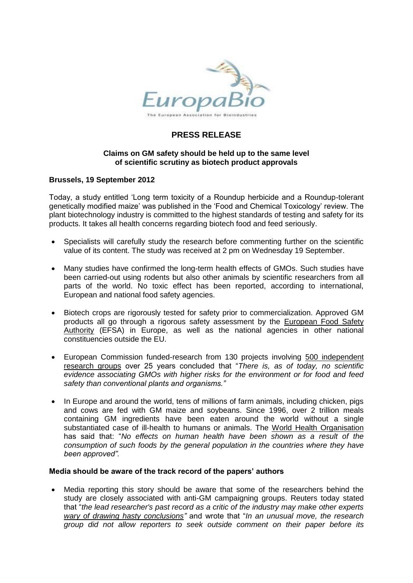

# **PRESS RELEASE**

## **Claims on GM safety should be held up to the same level of scientific scrutiny as biotech product approvals**

## **Brussels, 19 September 2012**

Today, a study entitled 'Long term toxicity of a Roundup herbicide and a Roundup-tolerant genetically modified maize' was published in the 'Food and Chemical Toxicology' review. The plant biotechnology industry is committed to the highest standards of testing and safety for its products. It takes all health concerns regarding biotech food and feed seriously.

- Specialists will carefully study the research before commenting further on the scientific value of its content. The study was received at 2 pm on Wednesday 19 September.
- Many studies have confirmed the long-term health effects of GMOs. Such studies have been carried-out using rodents but also other animals by scientific researchers from all parts of the world. No toxic effect has been reported, according to international, European and national food safety agencies.
- Biotech crops are rigorously tested for safety prior to commercialization. Approved GM products all go through a rigorous safety assessment by the European Food Safety Authority (EFSA) in Europe, as well as the national agencies in other national constituencies outside the EU.
- European Commission funded-research from 130 projects involving 500 independent research groups over 25 years concluded that "*There is, as of today, no scientific evidence associating GMOs with higher risks for the environment or for food and feed safety than conventional plants and organisms."*
- In Europe and around the world, tens of millions of farm animals, including chicken, pigs and cows are fed with GM maize and soybeans. Since 1996, over 2 trillion meals containing GM ingredients have been eaten around the world without a single substantiated case of ill-health to humans or animals. The World Health Organisation has said that: "*No effects on human health have been shown as a result of the consumption of such foods by the general population in the countries where they have been approved".*

#### **Media should be aware of the track record of the papers' authors**

 Media reporting this story should be aware that some of the researchers behind the study are closely associated with anti-GM campaigning groups. Reuters today stated that "*the lead researcher's past record as a critic of the industry may make other experts wary of drawing hasty conclusions"* and wrote that "*In an unusual move, the research group did not allow reporters to seek outside comment on their paper before its*